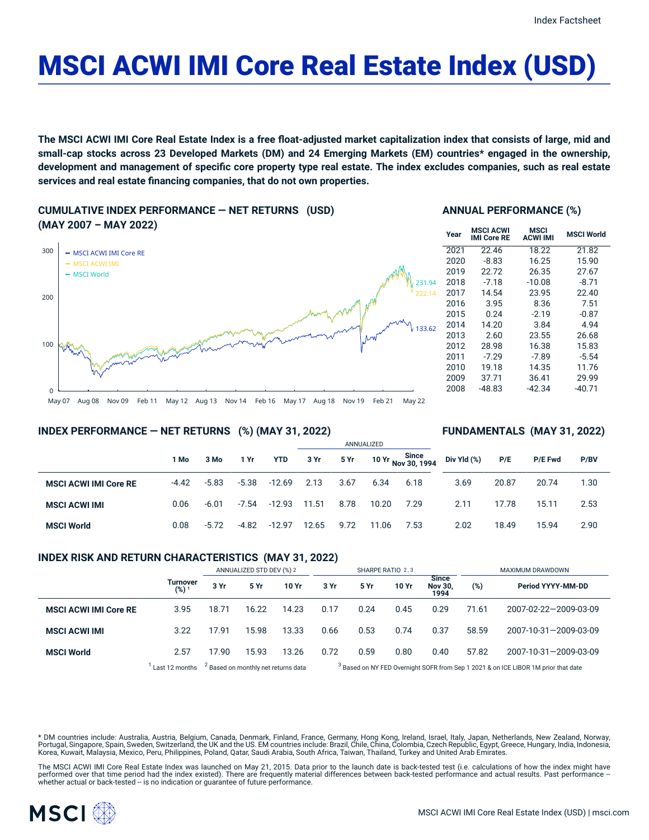# MSCI ACWI IMI Core Real Estate Index (USD)

The MSCI ACWI IMI Core Real Estate Index is a free float-adjusted market capitalization index that consists of large, mid and small-cap stocks across 23 Developed Markets (DM) and 24 Emerging Markets (EM) countries\* engaged in the ownership, development and management of specific core property type real estate. The index excludes companies, such as real estate **services and real estate financing companies, that do not own properties.**

**CUMULATIVE INDEX PERFORMANCE — NET RETURNS (USD) (MAY 2007 – MAY 2022)**



# **ANNUAL PERFORMANCE (%)**

| Year | <b>MSCI ACWI</b><br><b>IMI Core RE</b> | MSCI<br><b>ACWI IMI</b> | <b>MSCI World</b> |
|------|----------------------------------------|-------------------------|-------------------|
| 2021 | 22.46                                  | 18.22                   | 21.82             |
| 2020 | $-8.83$                                | 16.25                   | 15.90             |
| 2019 | 22.72                                  | 26.35                   | 27.67             |
| 2018 | $-7.18$                                | $-10.08$                | $-8.71$           |
| 2017 | 14.54                                  | 23.95                   | 22.40             |
| 2016 | 3.95                                   | 8.36                    | 7.51              |
| 2015 | 0.24                                   | $-2.19$                 | $-0.87$           |
| 2014 | 14.20                                  | 3.84                    | 4.94              |
| 2013 | 2.60                                   | 23.55                   | 26.68             |
| 2012 | 28.98                                  | 16.38                   | 15.83             |
| 2011 | $-7.29$                                | -7.89                   | $-5.54$           |
| 2010 | 19.18                                  | 14.35                   | 11.76             |
| 2009 | 37.71                                  | 36.41                   | 29.99             |
| 2008 | -48.83                                 | $-42.34$                | -40.71            |

#### May 07 Aug 08 Nov 09 Feb 11 May 12 Aug 13 Nov 14 Feb 16 May 17 Aug 18 Nov 19 Feb 21 May 22

### **INDEX PERFORMANCE — NET RETURNS (%) (MAY 31, 2022)**

#### **FUNDAMENTALS (MAY 31, 2022)**

|                              |         |         |         |            |       |      | ANNUALIZED |                             |             |       |                |      |  |
|------------------------------|---------|---------|---------|------------|-------|------|------------|-----------------------------|-------------|-------|----------------|------|--|
|                              | 1 Mo    | 3 Mo    | 1 Yr    | <b>YTD</b> | 3 Yr  | 5 Yr |            | 10 Yr Since<br>Nov 30, 1994 | Div Yld (%) | P/E   | <b>P/E Fwd</b> | P/BV |  |
| <b>MSCI ACWI IMI Core RE</b> | $-4.42$ | $-5.83$ | $-5.38$ | $-12.69$   | 2.13  | 3.67 | 6.34       | 6.18                        | 3.69        | 20.87 | 20.74          | 1.30 |  |
| <b>MSCI ACWI IMI</b>         | 0.06    | $-6.01$ | $-7.54$ | $-12.93$   | 11.51 | 8.78 | 10.20      | 7.29                        | 2.11        | 17.78 | 15.11          | 2.53 |  |
| <b>MSCI World</b>            | 0.08    | $-5.72$ | -4.82   | $-12.97$   | 12.65 | 9.72 | 11.06      | 7.53                        | 2.02        | 18.49 | 15.94          | 2.90 |  |

#### **INDEX RISK AND RETURN CHARACTERISTICS (MAY 31, 2022)**

|                              |                        | ANNUALIZED STD DEV (%) 2 |                                                |       | SHARPE RATIO 2,3                                                                              |      |       |                                        | MAXIMUM DRAWDOWN |                       |  |
|------------------------------|------------------------|--------------------------|------------------------------------------------|-------|-----------------------------------------------------------------------------------------------|------|-------|----------------------------------------|------------------|-----------------------|--|
|                              | <b>Turnover</b><br>(%) | 3 Yr                     | 5 Yr                                           | 10 Yr | 3 Yr                                                                                          | 5 Yr | 10 Yr | <b>Since</b><br><b>Nov 30.</b><br>1994 | (%)              | Period YYYY-MM-DD     |  |
| <b>MSCI ACWI IMI Core RE</b> | 3.95                   | 18.71                    | 16.22                                          | 14.23 | 0.17                                                                                          | 0.24 | 0.45  | 0.29                                   | 71.61            | 2007-02-22-2009-03-09 |  |
| <b>MSCI ACWI IMI</b>         | 3.22                   | 17.91                    | 15.98                                          | 13.33 | 0.66                                                                                          | 0.53 | 0.74  | 0.37                                   | 58.59            | 2007-10-31-2009-03-09 |  |
| <b>MSCI World</b>            | 2.57                   | 17.90                    | 15.93                                          | 13.26 | 0.72                                                                                          | 0.59 | 0.80  | 0.40                                   | 57.82            | 2007-10-31-2009-03-09 |  |
|                              | Last 12 months         |                          | <sup>2</sup> Based on monthly net returns data |       | <sup>3</sup> Based on NY FED Overnight SOFR from Sep 1 2021 & on ICE LIBOR 1M prior that date |      |       |                                        |                  |                       |  |

\* DM countries include: Australia, Austria, Belgium, Canada, Denmark, Finland, France, Germany, Hong Kong, Ireland, Israel, Italy, Japan, Netherlands, New Zealand, Norway, Portugal, Singapore, Spain, Sweden, Switzerland, the UK and the US. EM countries include: Brazil, Chile, China, Colombia, Czech Republic, Egypt, Greece, Hungary, India, Indonesia, Korea, Kuwait, Malaysia, Mexico, Peru, Philippines, Poland, Qatar, Saudi Arabia, South Africa, Taiwan, Thailand, Turkey and United Arab Emirates.

The MSCI ACWI IMI Core Real Estate Index was launched on May 21, 2015. Data prior to the launch date is back-tested test (i.e. calculations of how the index might have performed over that time period had the index existed). There are frequently material differences between back-tested performance and actual results. Past performance –<br>whether actual or back-tested – is no indication or g

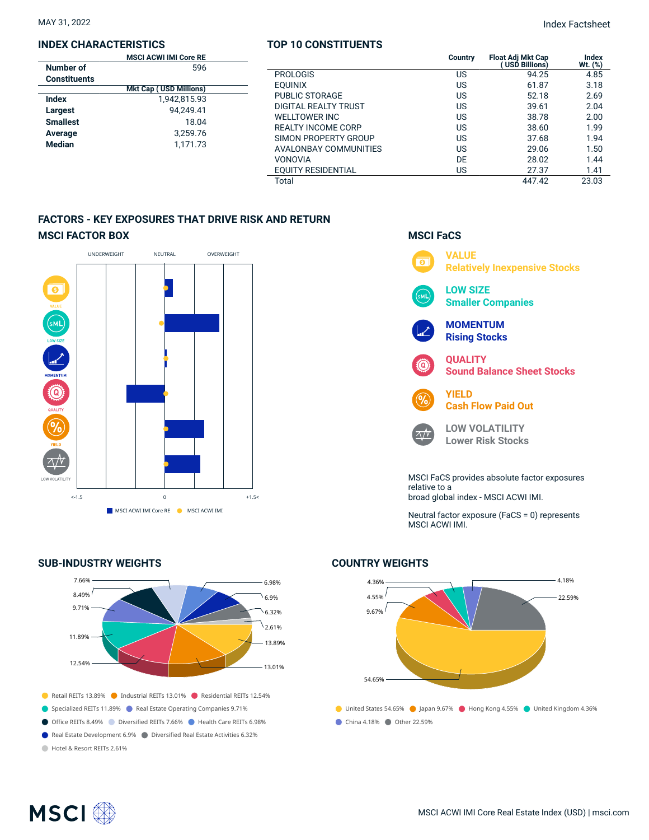#### **INDEX CHARACTERISTICS**

|                     | <b>MSCI ACWI IMI Core RE</b>  |  |
|---------------------|-------------------------------|--|
| Number of           | 596                           |  |
| <b>Constituents</b> |                               |  |
|                     | <b>Mkt Cap (USD Millions)</b> |  |
| <b>Index</b>        | 1.942.815.93                  |  |
| Largest             | 94.249.41                     |  |
| <b>Smallest</b>     | 18.04                         |  |
| Average             | 3.259.76                      |  |
| <b>Median</b>       | 1.171.73                      |  |
|                     |                               |  |

#### **TOP 10 CONSTITUENTS**

MAY 31, 2022 Index Factsheet

| <b>MSCI ACWI IMI Core RE</b>  |                           | <b>Country</b> | <b>Float Adi Mkt Cap</b><br><b>USD Billions)</b> | Index<br>Wt. (%) |
|-------------------------------|---------------------------|----------------|--------------------------------------------------|------------------|
| 596                           |                           |                |                                                  |                  |
| ents:                         | <b>PROLOGIS</b>           | US             | 94.25                                            | 4.85             |
| <b>Mkt Cap (USD Millions)</b> | <b>EOUINIX</b>            | US             | 61.87                                            | 3.18             |
| 1,942,815.93                  | <b>PUBLIC STORAGE</b>     | US             | 52.18                                            | 2.69             |
| 94.249.41                     | DIGITAL REALTY TRUST      | US             | 39.61                                            | 2.04             |
| 18.04                         | <b>WELLTOWER INC</b>      | US             | 38.78                                            | 2.00             |
|                               | <b>REALTY INCOME CORP</b> | US             | 38.60                                            | 1.99             |
| 3,259.76                      | SIMON PROPERTY GROUP      | US             | 37.68                                            | 1.94             |
| 1.171.73                      | AVALONBAY COMMUNITIES     | US             | 29.06                                            | 1.50             |
|                               | <b>VONOVIA</b>            | DE             | 28.02                                            | 1.44             |
|                               | <b>EOUITY RESIDENTIAL</b> | US             | 27.37                                            | 1.41             |
|                               | Total                     |                | 447.42                                           | 23.03            |

# **FACTORS - KEY EXPOSURES THAT DRIVE RISK AND RETURN MSCI FACTOR BOX**



## **SUB-INDUSTRY WEIGHTS**





**MSCI FaCS**

Neutral factor exposure (FaCS = 0) represents MSCI ACWI IMI.

# **COUNTRY WEIGHTS**